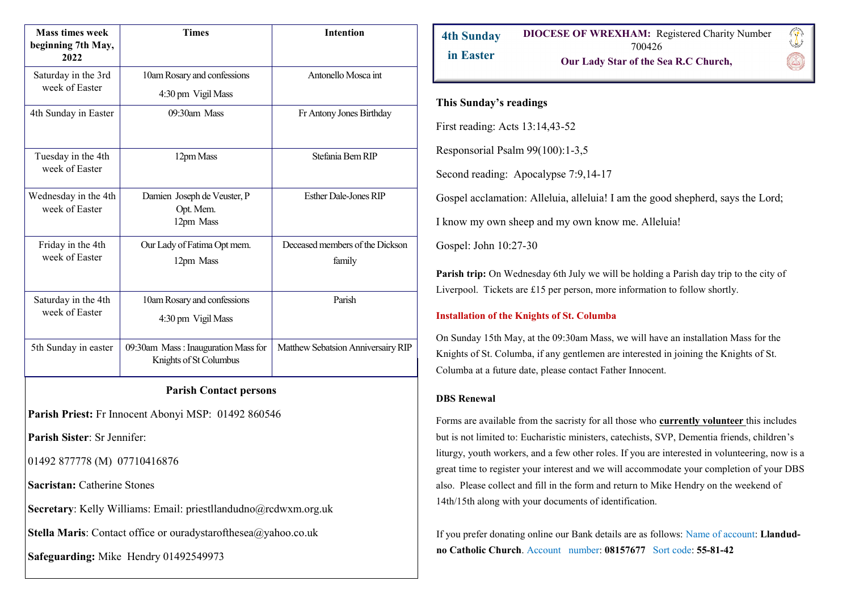| <b>Mass times week</b><br>beginning 7th May,<br>2022 | <b>Times</b>                                                  | <b>Intention</b>                          |
|------------------------------------------------------|---------------------------------------------------------------|-------------------------------------------|
| Saturday in the 3rd<br>week of Easter                | 10am Rosary and confessions<br>4:30 pm Vigil Mass             | Antonello Mosca int                       |
| 4th Sunday in Easter                                 | $09:30$ am Mass                                               | Fr Antony Jones Birthday                  |
| Tuesday in the 4th<br>week of Easter                 | 12pm Mass                                                     | Stefania Bem RIP                          |
| Wednesday in the 4th<br>week of Easter               | Damien Joseph de Veuster, P<br>Opt. Mem.<br>12pm Mass         | <b>Esther Dale-Jones RIP</b>              |
| Friday in the 4th<br>week of Easter                  | Our Lady of Fatima Opt mem.<br>12pm Mass                      | Deceased members of the Dickson<br>family |
| Saturday in the 4th<br>week of Easter                | 10am Rosary and confessions<br>4:30 pm Vigil Mass             | Parish                                    |
| 5th Sunday in easter                                 | 09:30am Mass: Inauguration Mass for<br>Knights of St Columbus | Matthew Sebatsion Anniversairy RIP        |

# **Parish Contact persons**

Parish Priest: Fr Innocent Abonyi MSP: 01492 860546

**Parish Sister**: Sr Jennifer:

01492 877778 (M) 07710416876

**Sacristan:** Catherine Stones

**Secretary**: Kelly Williams: Email: priestllandudno@rcdwxm.org.uk

**Stella Maris**: Contact office or ouradystarofthesea@yahoo.co.uk

**Safeguarding:** Mike Hendry 01492549973

#### **DIOCESE OF WREXHAM:** Registered Charity Number **4th Sunday**  700426 **in Easter Our Lady Star of the Sea R.C Church,**

# **This Sunday's readings**

First reading: Acts 13:14,43-52

Responsorial Psalm 99(100):1-3,5

Second reading: Apocalypse 7:9,14-17

Gospel acclamation: Alleluia, alleluia! I am the good shepherd, says the Lord;

I know my own sheep and my own know me. Alleluia!

Gospel: John 10:27-30

**Parish trip:** On Wednesday 6th July we will be holding a Parish day trip to the city of Liverpool. Tickets are £15 per person, more information to follow shortly.

### **Installation of the Knights of St. Columba**

On Sunday 15th May, at the 09:30am Mass, we will have an installation Mass for the Knights of St. Columba, if any gentlemen are interested in joining the Knights of St. Columba at a future date, please contact Father Innocent.

### **DBS Renewal**

Forms are available from the sacristy for all those who **currently volunteer** this includes but is not limited to: Eucharistic ministers, catechists, SVP, Dementia friends, children's liturgy, youth workers, and a few other roles. If you are interested in volunteering, now is a great time to register your interest and we will accommodate your completion of your DBS also. Please collect and fill in the form and return to Mike Hendry on the weekend of 14th/15th along with your documents of identification.

If you prefer donating online our Bank details are as follows: Name of account: **Llandudno Catholic Church**. Account number: **08157677** Sort code: **55-81-42**